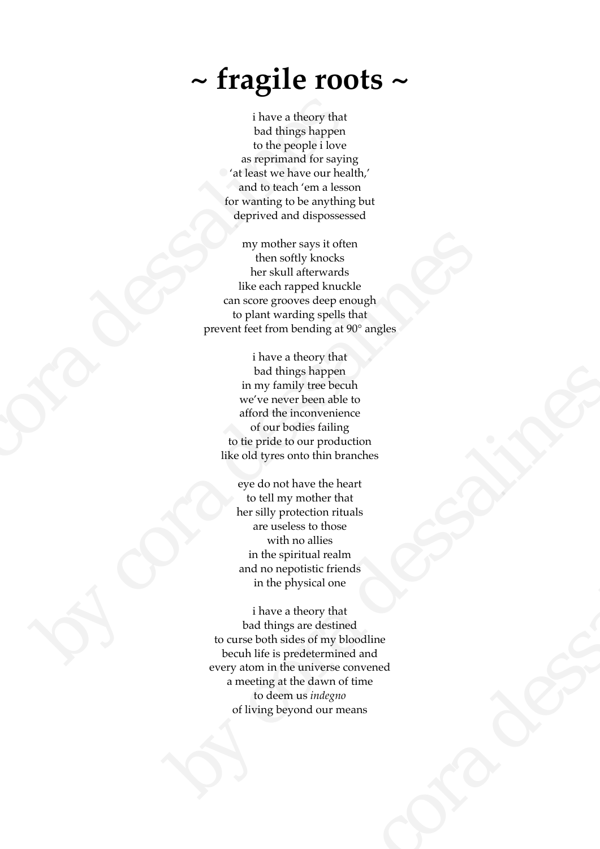## **~ fragile roots ~**

i have a theory that bad things happen to the people i love as reprimand for saying 'at least we have our health,' and to teach 'em a lesson for wanting to be anything but deprived and dispossessed

my mother says it often then softly knocks her skull afterwards like each rapped knuckle can score grooves deep enough to plant warding spells that prevent feet from bending at 90° angles my mother says it often<br>them softly knocks<br>ther skull afterwards<br>like each rapped knuckle<br>and score grooves deep enough<br>to plant warding spells that<br>prevent feet from bending at 90° angles<br>in the set alternal defined by t

i have a theory that bad things happen in my family tree becuh we've never been able to afford the inconvenience of our bodies failing to tie pride to our production like old tyres onto thin branches is that that the single single during the server than the single single during the server than the single during to the people i love and to teach 'em a lessor for wanting to be anything the single depiction of the simulat

eye do not have the heart to tell my mother that her silly protection rituals are useless to those with no allies in the spiritual realm and no nepotistic friends in the physical one

i have a theory that bad things are destined to curse both sides of my bloodline becuh life is predetermined and every atom in the universe convened a meeting at the dawn of time to deem us *indegno* of living beyond our means bad things happen<br>
in my family tree beech<br>
we've newer been able to<br>
afford the inconvenience<br>
of our brothes failing<br>
to the pride to our production<br>
like old types onto thin branches<br>
eyed on the verthe heat<br>
to tell m mother that<br>tection rituals<br>ses to those<br>no allies<br>initual realm<br>obstite friends<br>wheory that<br>are destined and<br>theory that<br>are destined and<br>universe convened<br>he dawn of time<br>us *indegno*<br>ond our means<br>ond our means